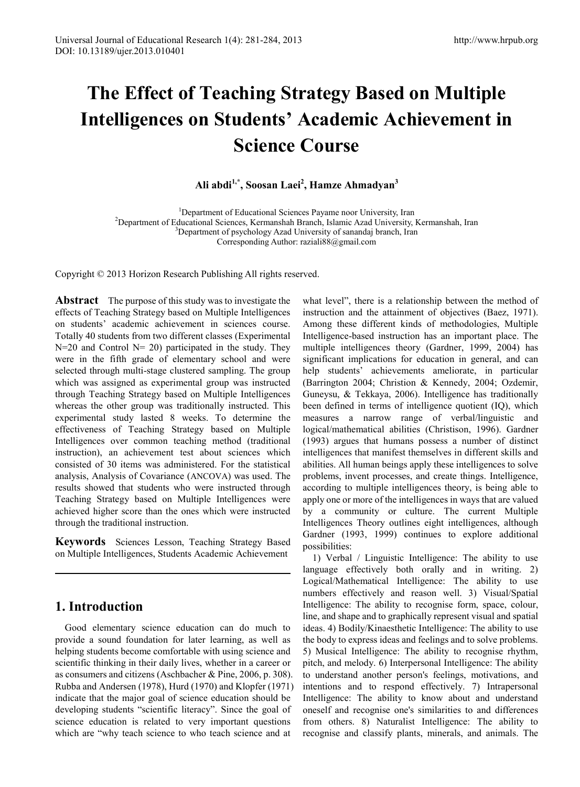# **The Effect of Teaching Strategy Based on Multiple Intelligences on Students' Academic Achievement in Science Course**

#### **Ali abdi1,\*, Soosan Laei2 , Hamze Ahmadyan3**

<sup>1</sup>Department of Educational Sciences Payame noor University, Iran <sup>2</sup>Department of Educational Sciences Kermanshab Branch Islamic Azed University <sup>2</sup>Department of Educational Sciences, Kermanshah Branch, Islamic Azad University, Kermanshah, Iran <sup>3</sup>Department of psychology Azad University of sanandaj branch, Iran Corresponding Author: raziali88@gmail.com

Copyright © 2013 Horizon Research Publishing All rights reserved.

**Abstract** The purpose of this study was to investigate the effects of Teaching Strategy based on Multiple Intelligences on students' academic achievement in sciences course. Totally 40 students from two different classes (Experimental  $N=20$  and Control  $N=20$ ) participated in the study. They were in the fifth grade of elementary school and were selected through multi-stage clustered sampling. The group which was assigned as experimental group was instructed through Teaching Strategy based on Multiple Intelligences whereas the other group was traditionally instructed. This experimental study lasted 8 weeks. To determine the effectiveness of Teaching Strategy based on Multiple Intelligences over common teaching method (traditional instruction), an achievement test about sciences which consisted of 30 items was administered. For the statistical analysis, Analysis of Covariance (ANCOVA) was used. The results showed that students who were instructed through Teaching Strategy based on Multiple Intelligences were achieved higher score than the ones which were instructed through the traditional instruction.

**Keywords** Sciences Lesson, Teaching Strategy Based on Multiple Intelligences, Students Academic Achievement

## **1. Introduction**

Good elementary science education can do much to provide a sound foundation for later learning, as well as helping students become comfortable with using science and scientific thinking in their daily lives, whether in a career or as consumers and citizens (Aschbacher & Pine, 2006, p. 308). Rubba and Andersen (1978), Hurd (1970) and Klopfer (1971) indicate that the major goal of science education should be developing students "scientific literacy". Since the goal of science education is related to very important questions which are "why teach science to who teach science and at

what level", there is a relationship between the method of instruction and the attainment of objectives (Baez, 1971). Among these different kinds of methodologies, Multiple Intelligence-based instruction has an important place. The multiple intelligences theory (Gardner, 1999, 2004) has significant implications for education in general, and can help students' achievements ameliorate, in particular (Barrington 2004; Christion & Kennedy, 2004; Ozdemir, Guneysu, & Tekkaya, 2006). Intelligence has traditionally been defined in terms of intelligence quotient (IQ), which measures a narrow range of verbal/linguistic and logical/mathematical abilities (Christison, 1996). Gardner (1993) argues that humans possess a number of distinct intelligences that manifest themselves in different skills and abilities. All human beings apply these intelligences to solve problems, invent processes, and create things. Intelligence, according to multiple intelligences theory, is being able to apply one or more of the intelligences in ways that are valued by a community or culture. The current Multiple Intelligences Theory outlines eight intelligences, although Gardner (1993, 1999) continues to explore additional possibilities:

1) Verbal / Linguistic Intelligence: The ability to use language effectively both orally and in writing. 2) Logical/Mathematical Intelligence: The ability to use numbers effectively and reason well. 3) Visual/Spatial Intelligence: The ability to recognise form, space, colour, line, and shape and to graphically represent visual and spatial ideas. 4) Bodily/Kinaesthetic Intelligence: The ability to use the body to express ideas and feelings and to solve problems. 5) Musical Intelligence: The ability to recognise rhythm, pitch, and melody. 6) Interpersonal Intelligence: The ability to understand another person's feelings, motivations, and intentions and to respond effectively. 7) Intrapersonal Intelligence: The ability to know about and understand oneself and recognise one's similarities to and differences from others. 8) Naturalist Intelligence: The ability to recognise and classify plants, minerals, and animals. The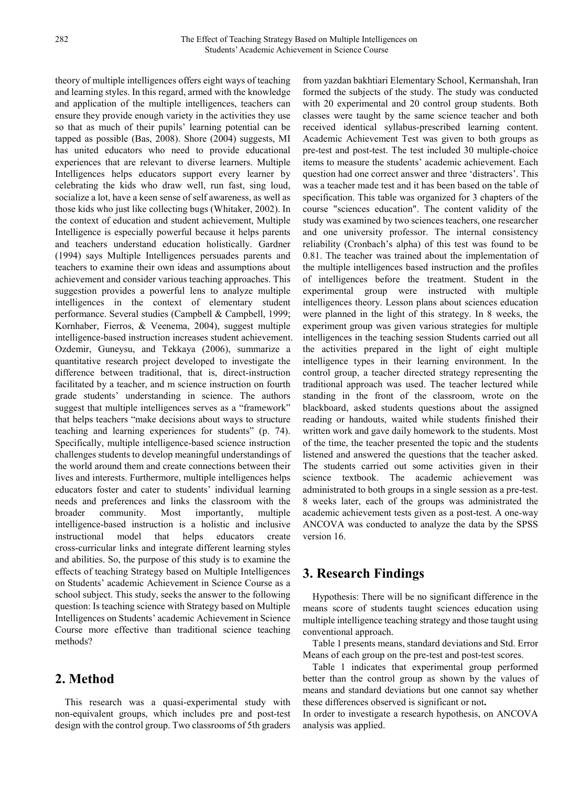theory of multiple intelligences offers eight ways of teaching and learning styles. In this regard, armed with the knowledge and application of the multiple intelligences, teachers can ensure they provide enough variety in the activities they use so that as much of their pupils' learning potential can be tapped as possible (Bas, 2008). Shore (2004) suggests, MI has united educators who need to provide educational experiences that are relevant to diverse learners. Multiple Intelligences helps educators support every learner by celebrating the kids who draw well, run fast, sing loud, socialize a lot, have a keen sense of self awareness, as well as those kids who just like collecting bugs (Whitaker, 2002). In the context of education and student achievement, Multiple Intelligence is especially powerful because it helps parents and teachers understand education holistically. Gardner (1994) says Multiple Intelligences persuades parents and teachers to examine their own ideas and assumptions about achievement and consider various teaching approaches. This suggestion provides a powerful lens to analyze multiple intelligences in the context of elementary student performance. Several studies (Campbell & Campbell, 1999; Kornhaber, Fierros, & Veenema, 2004), suggest multiple intelligence-based instruction increases student achievement. Ozdemir, Guneysu, and Tekkaya (2006), summarize a quantitative research project developed to investigate the difference between traditional, that is, direct-instruction facilitated by a teacher, and m science instruction on fourth grade students' understanding in science. The authors suggest that multiple intelligences serves as a "framework" that helps teachers "make decisions about ways to structure teaching and learning experiences for students" (p. 74). Specifically, multiple intelligence-based science instruction challenges students to develop meaningful understandings of the world around them and create connections between their lives and interests. Furthermore, multiple intelligences helps educators foster and cater to students' individual learning needs and preferences and links the classroom with the broader community. Most importantly, multiple intelligence-based instruction is a holistic and inclusive instructional model that helps educators create cross-curricular links and integrate different learning styles and abilities. So, the purpose of this study is to examine the effects of teaching Strategy based on Multiple Intelligences on Students' academic Achievement in Science Course as a school subject. This study, seeks the answer to the following question: Is teaching science with Strategy based on Multiple Intelligences on Students' academic Achievement in Science Course more effective than traditional science teaching methods?

## **2. Method**

This research was a quasi-experimental study with non-equivalent groups, which includes pre and post-test design with the control group. Two classrooms of 5th graders

from yazdan bakhtiari Elementary School, Kermanshah, Iran formed the subjects of the study. The study was conducted with 20 experimental and 20 control group students. Both classes were taught by the same science teacher and both received identical syllabus-prescribed learning content. Academic Achievement Test was given to both groups as pre-test and post-test. The test included 30 multiple-choice items to measure the students' academic achievement. Each question had one correct answer and three 'distracters'. This was a teacher made test and it has been based on the table of specification. This table was organized for 3 chapters of the course "sciences education". The content validity of the study was examined by two sciences teachers, one researcher and one university professor. The internal consistency reliability (Cronbach's alpha) of this test was found to be 0.81. The teacher was trained about the implementation of the multiple intelligences based instruction and the profiles of intelligences before the treatment. Student in the experimental group were instructed with multiple intelligences theory. Lesson plans about sciences education were planned in the light of this strategy. In 8 weeks, the experiment group was given various strategies for multiple intelligences in the teaching session Students carried out all the activities prepared in the light of eight multiple intelligence types in their learning environment. In the control group, a teacher directed strategy representing the traditional approach was used. The teacher lectured while standing in the front of the classroom, wrote on the blackboard, asked students questions about the assigned reading or handouts, waited while students finished their written work and gave daily homework to the students. Most of the time, the teacher presented the topic and the students listened and answered the questions that the teacher asked. The students carried out some activities given in their science textbook. The academic achievement was administrated to both groups in a single session as a pre-test. 8 weeks later, each of the groups was administrated the academic achievement tests given as a post-test. A one-way ANCOVA was conducted to analyze the data by the SPSS version 16.

## **3. Research Findings**

Hypothesis: There will be no significant difference in the means score of students taught sciences education using multiple intelligence teaching strategy and those taught using conventional approach.

Table 1 presents means, standard deviations and Std. Error Means of each group on the pre-test and post-test scores.

Table 1 indicates that experimental group performed better than the control group as shown by the values of means and standard deviations but one cannot say whether these differences observed is significant or not**.**

In order to investigate a research hypothesis, on ANCOVA analysis was applied.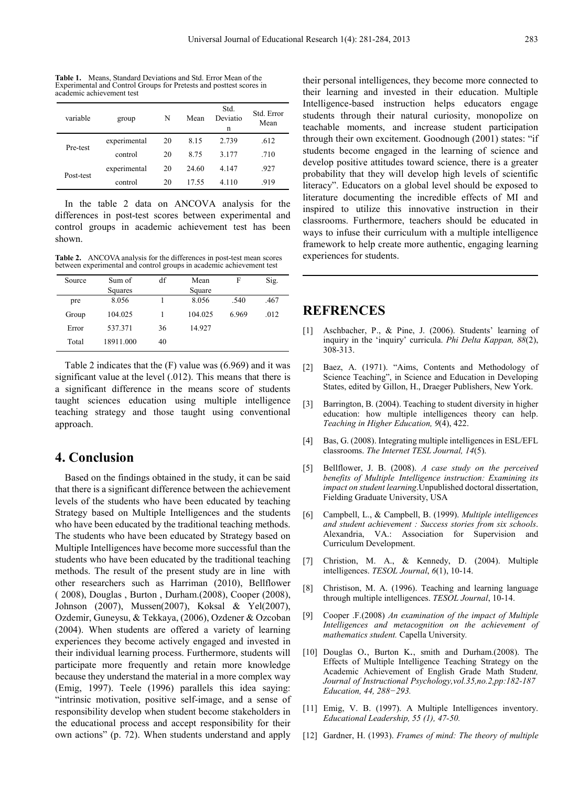**Table 1.** Means, Standard Deviations and Std. Error Mean of the Experimental and Control Groups for Pretests and posttest scores in academic achievement test

| variable  | group        | N  | Mean  | Std.<br>Deviatio<br>n | Std. Error<br>Mean |
|-----------|--------------|----|-------|-----------------------|--------------------|
| Pre-test  | experimental | 20 | 8.15  | 2.739                 | .612               |
|           | control      | 20 | 8.75  | 3.177                 | .710               |
| Post-test | experimental | 20 | 24.60 | 4.147                 | .927               |
|           | control      | 20 | 17.55 | 4.110                 | .919               |

In the table 2 data on ANCOVA analysis for the differences in post-test scores between experimental and control groups in academic achievement test has been shown.

**Table 2.** ANCOVA analysis for the differences in post-test mean scores between experimental and control groups in academic achievement test

| Source | Sum of    | df | Mean    | F     | Sig. |
|--------|-----------|----|---------|-------|------|
|        | Squares   |    | Square  |       |      |
| pre    | 8.056     |    | 8.056   | .540  | .467 |
| Group  | 104.025   |    | 104.025 | 6.969 | .012 |
| Error  | 537.371   | 36 | 14.927  |       |      |
| Total  | 18911.000 | 40 |         |       |      |

Table 2 indicates that the (F) value was (6.969) and it was significant value at the level (.012). This means that there is a significant difference in the means score of students taught sciences education using multiple intelligence teaching strategy and those taught using conventional approach.

### **4. Conclusion**

Based on the findings obtained in the study, it can be said that there is a significant difference between the achievement levels of the students who have been educated by teaching Strategy based on Multiple Intelligences and the students who have been educated by the traditional teaching methods. The students who have been educated by Strategy based on Multiple Intelligences have become more successful than the students who have been educated by the traditional teaching methods. The result of the present study are in line with other researchers such as Harriman (2010), Bellflower ( 2008), Douglas , Burton , Durham.(2008), Cooper (2008), Johnson (2007), Mussen(2007), Koksal & Yel(2007), Ozdemir, Guneysu, & Tekkaya, (2006), Ozdener & Ozcoban (2004). When students are offered a variety of learning experiences they become actively engaged and invested in their individual learning process. Furthermore, students will participate more frequently and retain more knowledge because they understand the material in a more complex way (Emig, 1997). Teele (1996) parallels this idea saying: "intrinsic motivation, positive self-image, and a sense of responsibility develop when student become stakeholders in the educational process and accept responsibility for their own actions" (p. 72). When students understand and apply

their personal intelligences, they become more connected to their learning and invested in their education. Multiple Intelligence-based instruction helps educators engage students through their natural curiosity, monopolize on teachable moments, and increase student participation through their own excitement. Goodnough (2001) states: "if students become engaged in the learning of science and develop positive attitudes toward science, there is a greater probability that they will develop high levels of scientific literacy". Educators on a global level should be exposed to literature documenting the incredible effects of MI and inspired to utilize this innovative instruction in their classrooms. Furthermore, teachers should be educated in ways to infuse their curriculum with a multiple intelligence framework to help create more authentic, engaging learning experiences for students.

### **REFRENCES**

- [1] Aschbacher, P., & Pine, J. (2006). Students' learning of inquiry in the 'inquiry' curricula. *Phi Delta Kappan, 88*(2), 308-313.
- [2] Baez, A. (1971). "Aims, Contents and Methodology of Science Teaching", in Science and Education in Developing States, edited by Gillon, H., Draeger Publishers, New York.
- [3] Barrington, B. (2004). Teaching to student diversity in higher education: how multiple intelligences theory can help. *Teaching in Higher Education, 9*(4), 422.
- [4] Bas, G. (2008). Integrating multiple intelligences in ESL/EFL classrooms. *The Internet TESL Journal, 14*(5).
- [5] Bellflower, J. B. (2008). *A case study on the perceived benefits of Multiple Intelligence instruction: Examining its impact on student learning*.Unpublished doctoral dissertation, Fielding Graduate University, USA
- [6] Campbell, L., & Campbell, B. (1999). *Multiple intelligences and student achievement : Success stories from six schools*. Alexandria, VA.: Association for Supervision and Curriculum Development.
- [7] Christion, M. A., & Kennedy, D. (2004). Multiple intelligences. *TESOL Journal*, *6*(1), 10-14.
- [8] Christison, M. A. (1996). Teaching and learning language through multiple intelligences. *TESOL Journal*, 10-14.
- [9] Cooper .F.(2008) *An examination of the impact of Multiple Intelligences and metacognition on the achievement of mathematics student.* Capella University*.*
- [10] Douglas O., Burton K., smith and Durham.(2008). The Effects of Multiple Intelligence Teaching Strategy on the Academic Achievement of English Grade Math Studen*t, Journal of Instructional Psychology,vol.35,no.2,pp:182-187 Education, 44, 288−293.*
- [11] Emig, V. B. (1997). A Multiple Intelligences inventory. *Educational Leadership, 55 (1), 47-50.*
- [12] Gardner, H. (1993). *Frames of mind: The theory of multiple*